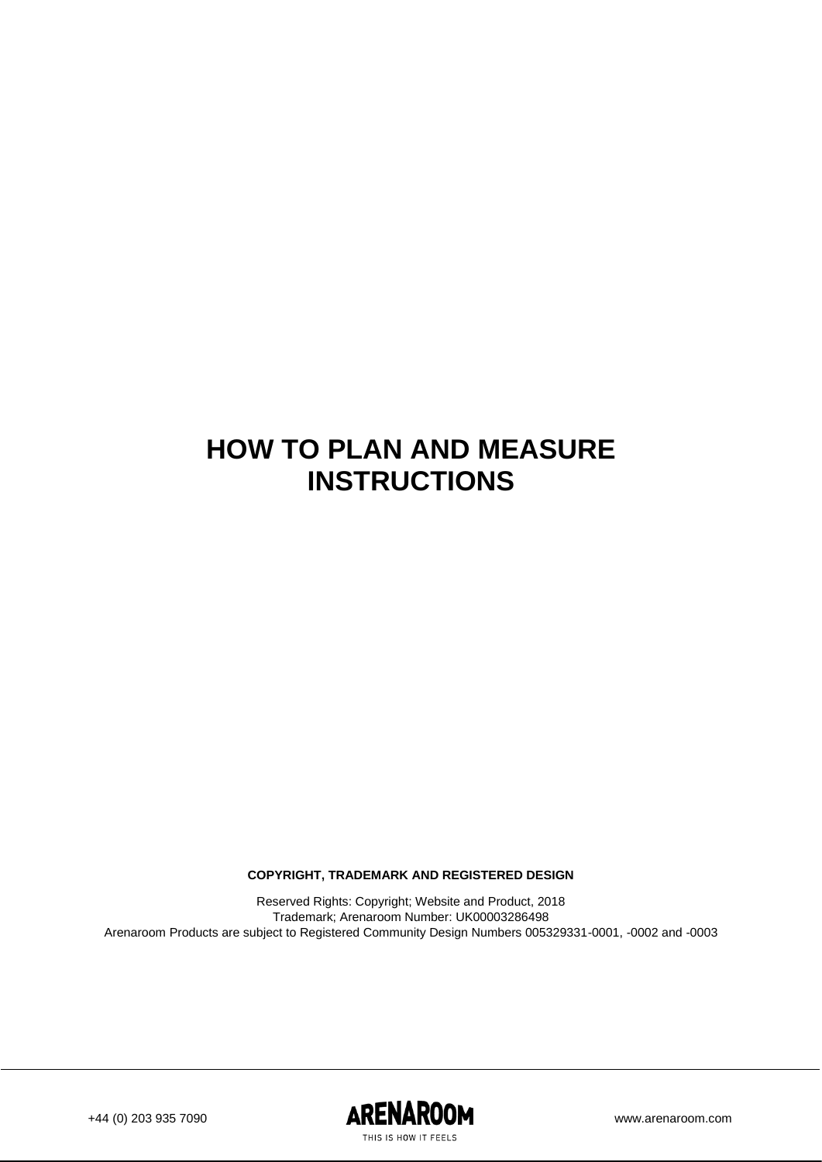### **HOW TO PLAN AND MEASURE INSTRUCTIONS**

**COPYRIGHT, TRADEMARK AND REGISTERED DESIGN**

Reserved Rights: Copyright; Website and Product, 2018 Trademark; Arenaroom Number: UK00003286498 Arenaroom Products are subject to Registered Community Design Numbers 005329331-0001, -0002 and -0003

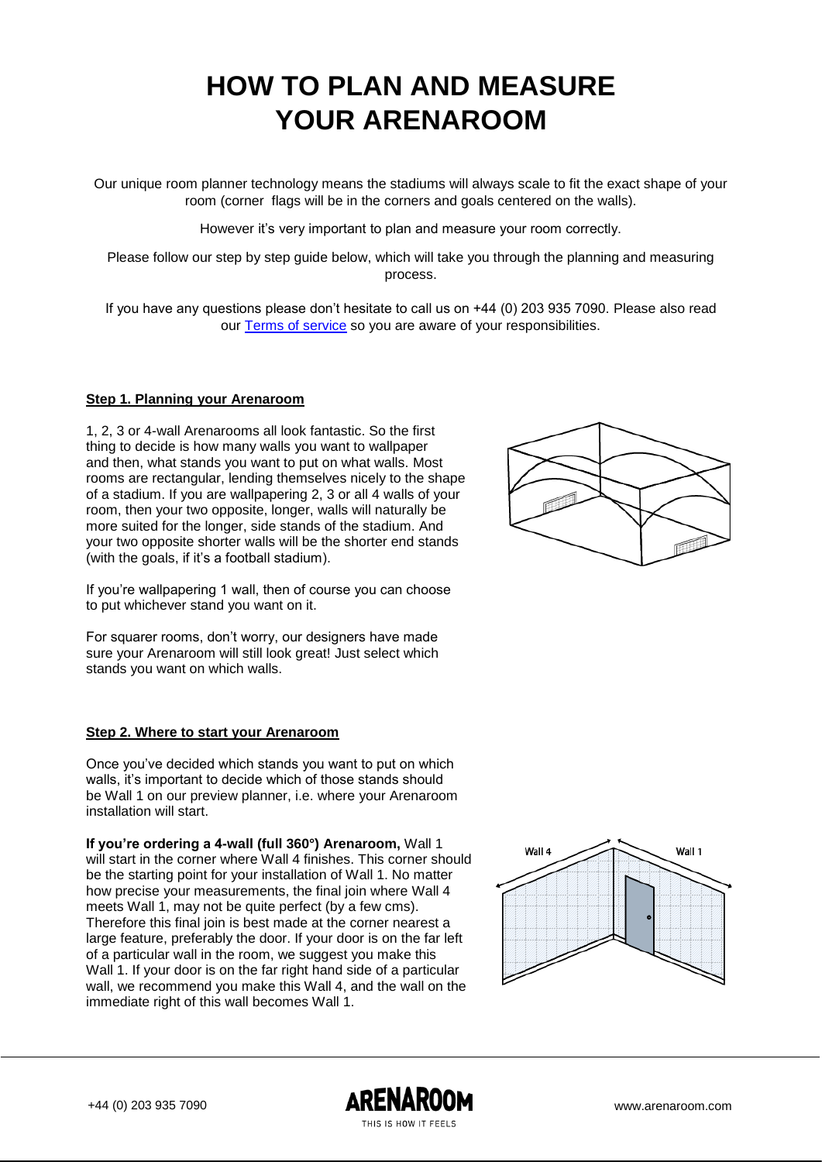## **HOW TO PLAN AND MEASURE YOUR ARENAROOM**

Our unique room planner technology means the stadiums will always scale to fit the exact shape of your room (corner flags will be in the corners and goals centered on the walls).

However it's very important to plan and measure your room correctly.

Please follow our step by step guide below, which will take you through the planning and measuring process.

If you have any questions please don't hesitate to call us on +44 (0) 203 935 7090. Please also read our [Terms of service](http://staging.arenaroom.com/staging/page/terms) so you are aware of your responsibilities.

### **Step 1. Planning your Arenaroom**

1, 2, 3 or 4-wall Arenarooms all look fantastic. So the first thing to decide is how many walls you want to wallpaper and then, what stands you want to put on what walls. Most rooms are rectangular, lending themselves nicely to the shape of a stadium. If you are wallpapering 2, 3 or all 4 walls of your room, then your two opposite, longer, walls will naturally be more suited for the longer, side stands of the stadium. And your two opposite shorter walls will be the shorter end stands (with the goals, if it's a football stadium).

If you're wallpapering 1 wall, then of course you can choose to put whichever stand you want on it.

For squarer rooms, don't worry, our designers have made sure your Arenaroom will still look great! Just select which stands you want on which walls.

### **Step 2. Where to start your Arenaroom**

Once you've decided which stands you want to put on which walls, it's important to decide which of those stands should be Wall 1 on our preview planner, i.e. where your Arenaroom installation will start.

**If you're ordering a 4-wall (full 360°) Arenaroom,** Wall 1 will start in the corner where Wall 4 finishes. This corner should be the starting point for your installation of Wall 1. No matter how precise your measurements, the final join where Wall 4 meets Wall 1, may not be quite perfect (by a few cms). Therefore this final join is best made at the corner nearest a large feature, preferably the door. If your door is on the far left of a particular wall in the room, we suggest you make this Wall 1. If your door is on the far right hand side of a particular wall, we recommend you make this Wall 4, and the wall on the immediate right of this wall becomes Wall 1.



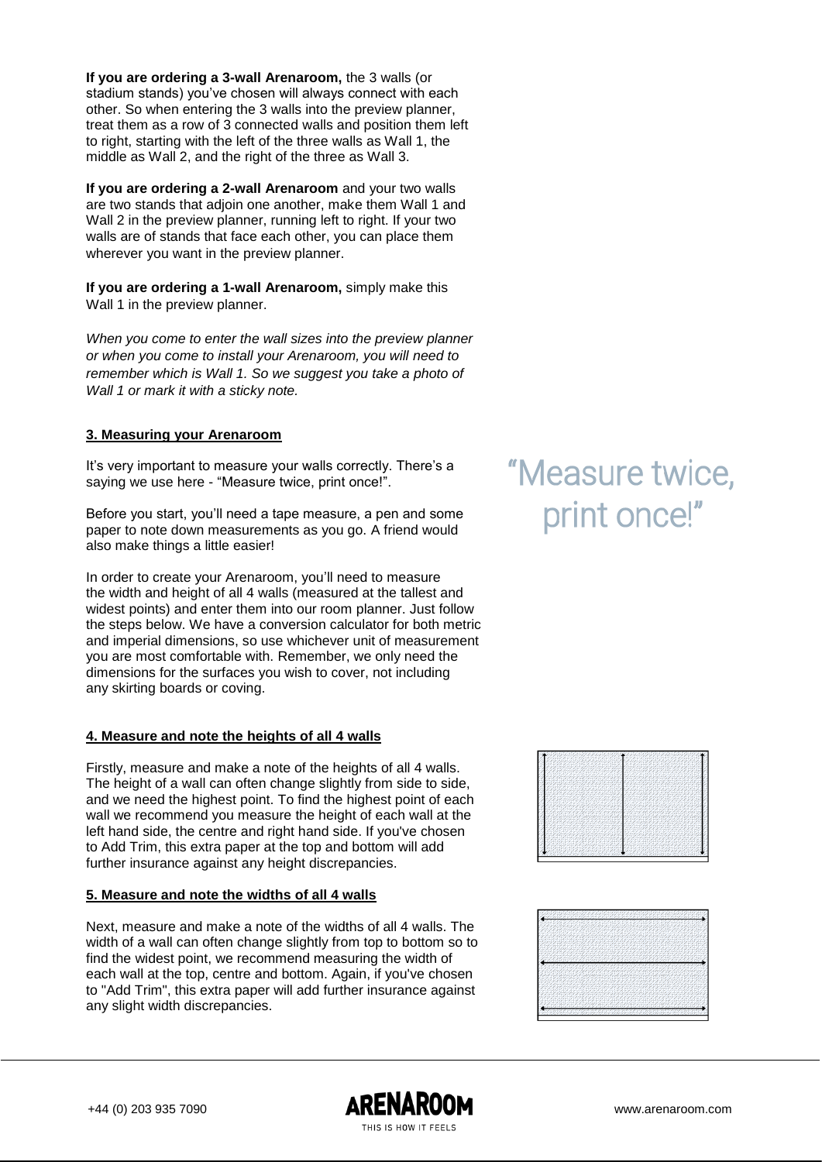**If you are ordering a 3-wall Arenaroom,** the 3 walls (or stadium stands) you've chosen will always connect with each other. So when entering the 3 walls into the preview planner, treat them as a row of 3 connected walls and position them left to right, starting with the left of the three walls as Wall 1, the middle as Wall 2, and the right of the three as Wall 3.

**If you are ordering a 2-wall Arenaroom** and your two walls are two stands that adjoin one another, make them Wall 1 and Wall 2 in the preview planner, running left to right. If your two walls are of stands that face each other, you can place them wherever you want in the preview planner.

**If you are ordering a 1-wall Arenaroom,** simply make this Wall 1 in the preview planner.

*When you come to enter the wall sizes into the preview planner or when you come to install your Arenaroom, you will need to remember which is Wall 1. So we suggest you take a photo of Wall 1 or mark it with a sticky note.*

### **3. Measuring your Arenaroom**

It's very important to measure your walls correctly. There's a saying we use here - "Measure twice, print once!".

Before you start, you'll need a tape measure, a pen and some paper to note down measurements as you go. A friend would also make things a little easier!

In order to create your Arenaroom, you'll need to measure the width and height of all 4 walls (measured at the tallest and widest points) and enter them into our room planner. Just follow the steps below. We have a conversion calculator for both metric and imperial dimensions, so use whichever unit of measurement you are most comfortable with. Remember, we only need the dimensions for the surfaces you wish to cover, not including any skirting boards or coving.

### **4. Measure and note the heights of all 4 walls**

Firstly, measure and make a note of the heights of all 4 walls. The height of a wall can often change slightly from side to side, and we need the highest point. To find the highest point of each wall we recommend you measure the height of each wall at the left hand side, the centre and right hand side. If you've chosen to Add Trim, this extra paper at the top and bottom will add further insurance against any height discrepancies.

### **5. Measure and note the widths of all 4 walls**

Next, measure and make a note of the widths of all 4 walls. The width of a wall can often change slightly from top to bottom so to find the widest point, we recommend measuring the width of each wall at the top, centre and bottom. Again, if you've chosen to "Add Trim", this extra paper will add further insurance against any slight width discrepancies.

# "Measure twice, print once!"